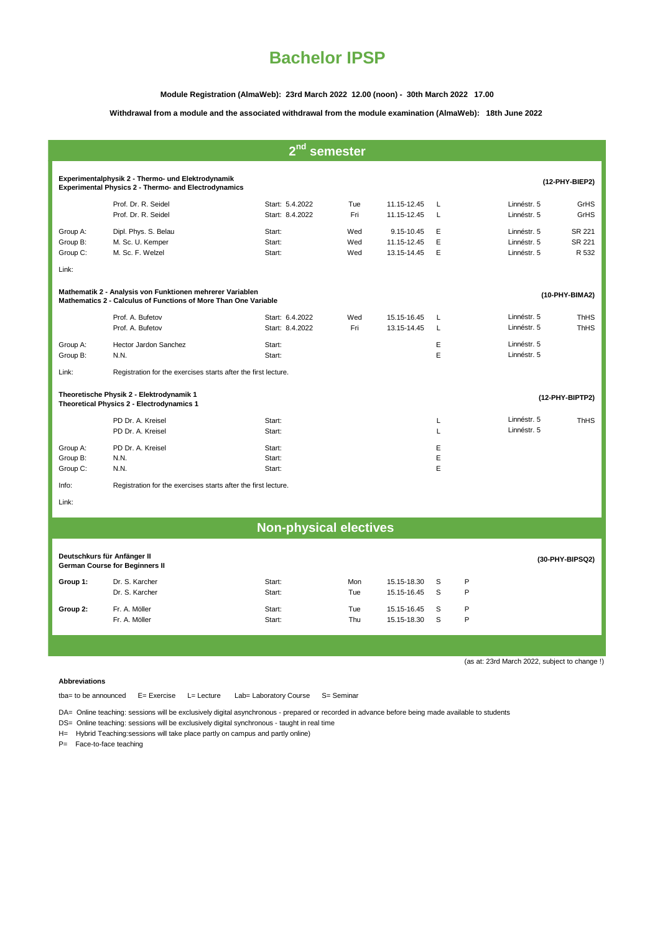### **Module Registration (AlmaWeb): 23rd March 2022 12.00 (noon) - 30th March 2022 17.00**

### **Withdrawal from a module and the associated withdrawal from the module examination (AlmaWeb): 18th June 2022**

| 2 <sub>nd</sub><br>semester                                                                                                                    |                                                                |                                    |                   |                                          |             |                                           |                            |  |  |
|------------------------------------------------------------------------------------------------------------------------------------------------|----------------------------------------------------------------|------------------------------------|-------------------|------------------------------------------|-------------|-------------------------------------------|----------------------------|--|--|
|                                                                                                                                                |                                                                |                                    |                   |                                          |             |                                           |                            |  |  |
| Experimentalphysik 2 - Thermo- und Elektrodynamik<br><b>Experimental Physics 2 - Thermo- and Electrodynamics</b>                               |                                                                |                                    |                   |                                          |             |                                           | (12-PHY-BIEP2)             |  |  |
|                                                                                                                                                | Prof. Dr. R. Seidel<br>Prof. Dr. R. Seidel                     | Start: 5.4.2022<br>Start: 8.4.2022 | Tue<br>Fri        | 11.15-12.45<br>11.15-12.45               | Г<br>L      | Linnéstr. 5<br>Linnéstr. 5                | GrHS<br>GrHS               |  |  |
| Group A:<br>Group B:<br>Group C:<br>Link:                                                                                                      | Dipl. Phys. S. Belau<br>M. Sc. U. Kemper<br>M. Sc. F. Welzel   | Start:<br>Start:<br>Start:         | Wed<br>Wed<br>Wed | 9.15-10.45<br>11.15-12.45<br>13.15-14.45 | E<br>E<br>E | Linnéstr. 5<br>Linnéstr. 5<br>Linnéstr. 5 | SR 221<br>SR 221<br>R 532  |  |  |
| Mathematik 2 - Analysis von Funktionen mehrerer Variablen<br>(10-PHY-BIMA2)<br>Mathematics 2 - Calculus of Functions of More Than One Variable |                                                                |                                    |                   |                                          |             |                                           |                            |  |  |
|                                                                                                                                                | Prof. A. Bufetov<br>Prof. A. Bufetov                           | Start: 6.4.2022<br>Start: 8.4.2022 | Wed<br>Fri        | 15.15-16.45<br>13.15-14.45               | Г<br>L      | Linnéstr. 5<br>Linnéstr. 5                | <b>ThHS</b><br><b>ThHS</b> |  |  |
| Group A:<br>Group B:                                                                                                                           | Hector Jardon Sanchez<br>N.N.                                  | Start:<br>Start:                   |                   |                                          | E<br>E      | Linnéstr. 5<br>Linnéstr. 5                |                            |  |  |
| Link:                                                                                                                                          | Registration for the exercises starts after the first lecture. |                                    |                   |                                          |             |                                           |                            |  |  |
| Theoretische Physik 2 - Elektrodynamik 1<br>Theoretical Physics 2 - Electrodynamics 1                                                          |                                                                |                                    |                   |                                          |             | (12-PHY-BIPTP2)                           |                            |  |  |
|                                                                                                                                                | PD Dr. A. Kreisel<br>PD Dr. A. Kreisel                         | Start:<br>Start:                   |                   |                                          | Г<br>L      | Linnéstr. 5<br>Linnéstr. 5                | <b>ThHS</b>                |  |  |
| Group A:<br>Group B:<br>Group C:                                                                                                               | PD Dr. A. Kreisel<br>N.N.<br>N.N.                              | Start:<br>Start:<br>Start:         |                   |                                          | E<br>E<br>E |                                           |                            |  |  |
| Info:                                                                                                                                          | Registration for the exercises starts after the first lecture. |                                    |                   |                                          |             |                                           |                            |  |  |
| Link:                                                                                                                                          |                                                                |                                    |                   |                                          |             |                                           |                            |  |  |
| <b>Non-physical electives</b>                                                                                                                  |                                                                |                                    |                   |                                          |             |                                           |                            |  |  |
| Deutschkurs für Anfänger II<br>(30-PHY-BIPSQ2)<br><b>German Course for Beginners II</b>                                                        |                                                                |                                    |                   |                                          |             |                                           |                            |  |  |
| Group 1:                                                                                                                                       | Dr. S. Karcher<br>Dr. S. Karcher                               | Start:<br>Start:                   | Mon<br>Tue        | 15.15-18.30<br>15.15-16.45               | S<br>S      | P<br>P                                    |                            |  |  |

(as at: 23rd March 2022, subject to change !)

#### **Abbreviations**

tba= to be announced E= Exercise L= Lecture Lab= Laboratory Course S= Seminar

Start: Thu 15.15-18.30 S P

DA= Online teaching: sessions will be exclusively digital asynchronous - prepared or recorded in advance before being made available to students

**Group 2:** Fr. A. Möller Chronic Start: Tue 15.15-16.45 S P<br>Fr. A. Möller Start: Start: Thu 15.15-18.30 S P

DS= Online teaching: sessions will be exclusively digital synchronous - taught in real time

H= Hybrid Teaching:sessions will take place partly on campus and partly online)

P= Face-to-face teaching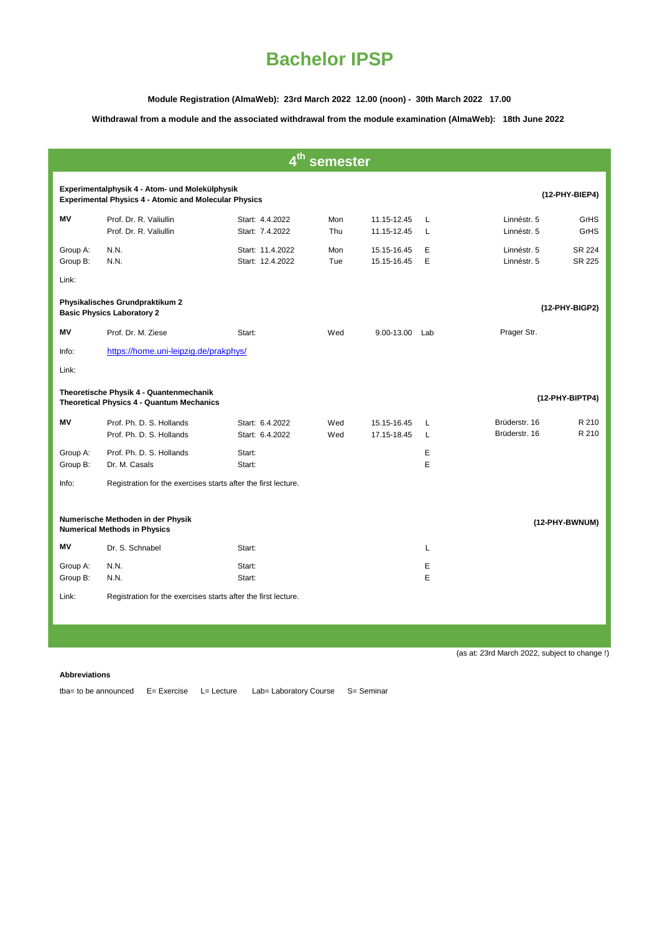**Module Registration (AlmaWeb): 23rd March 2022 12.00 (noon) - 30th March 2022 17.00**

**Withdrawal from a module and the associated withdrawal from the module examination (AlmaWeb): 18th June 2022** 

| 4 <sup>th</sup> semester                                                                                                         |                                                                                             |                                              |            |                            |        |                                |                  |  |  |  |
|----------------------------------------------------------------------------------------------------------------------------------|---------------------------------------------------------------------------------------------|----------------------------------------------|------------|----------------------------|--------|--------------------------------|------------------|--|--|--|
| Experimentalphysik 4 - Atom- und Molekülphysik<br>(12-PHY-BIEP4)<br><b>Experimental Physics 4 - Atomic and Molecular Physics</b> |                                                                                             |                                              |            |                            |        |                                |                  |  |  |  |
| MV                                                                                                                               | Prof. Dr. R. Valiullin<br>Prof. Dr. R. Valiullin                                            | Start: 4.4.2022<br>Start: 7.4.2022           | Mon<br>Thu | 11.15-12.45<br>11.15-12.45 | L<br>L | Linnéstr. 5<br>Linnéstr. 5     | GrHS<br>GrHS     |  |  |  |
| Group A:<br>Group B:                                                                                                             | N.N.<br>N.N.                                                                                | Start: 11.4.2022<br>Start: 12.4.2022         | Mon<br>Tue | 15.15-16.45<br>15.15-16.45 | E<br>E | Linnéstr. 5<br>Linnéstr. 5     | SR 224<br>SR 225 |  |  |  |
| Link:                                                                                                                            |                                                                                             |                                              |            |                            |        |                                |                  |  |  |  |
| Physikalisches Grundpraktikum 2<br>(12-PHY-BIGP2)<br><b>Basic Physics Laboratory 2</b>                                           |                                                                                             |                                              |            |                            |        |                                |                  |  |  |  |
| Mν                                                                                                                               | Prof. Dr. M. Ziese                                                                          | Start:                                       | Wed        | 9.00-13.00 Lab             |        | Prager Str.                    |                  |  |  |  |
| Info:                                                                                                                            | https://home.uni-leipzig.de/prakphys/                                                       |                                              |            |                            |        |                                |                  |  |  |  |
| Link:                                                                                                                            |                                                                                             |                                              |            |                            |        |                                |                  |  |  |  |
|                                                                                                                                  | Theoretische Physik 4 - Quantenmechanik<br><b>Theoretical Physics 4 - Quantum Mechanics</b> |                                              |            |                            |        |                                | (12-PHY-BIPTP4)  |  |  |  |
| ΜV                                                                                                                               | Prof. Ph. D. S. Hollands<br>Prof. Ph. D. S. Hollands                                        | Start: 6.4.2022<br>Start: 6.4.2022           | Wed<br>Wed | 15.15-16.45<br>17.15-18.45 | L<br>L | Brüderstr, 16<br>Brüderstr, 16 | R 210<br>R 210   |  |  |  |
| Group A:<br>Group B:                                                                                                             | Prof. Ph. D. S. Hollands<br>Dr. M. Casals                                                   | Start:<br>Start:                             |            |                            | E<br>E |                                |                  |  |  |  |
| Info:                                                                                                                            | Registration for the exercises starts after the first lecture.                              |                                              |            |                            |        |                                |                  |  |  |  |
| Numerische Methoden in der Physik<br>(12-PHY-BWNUM)<br><b>Numerical Methods in Physics</b>                                       |                                                                                             |                                              |            |                            |        |                                |                  |  |  |  |
| ΜV                                                                                                                               | Dr. S. Schnabel                                                                             | Start:                                       |            |                            | L      |                                |                  |  |  |  |
| Group A:<br>Group B:                                                                                                             | N.N.<br>N.N.                                                                                | Start:<br>Start:                             |            |                            | E<br>E |                                |                  |  |  |  |
| Link:                                                                                                                            | Registration for the exercises starts after the first lecture.                              |                                              |            |                            |        |                                |                  |  |  |  |
|                                                                                                                                  |                                                                                             |                                              |            |                            |        |                                |                  |  |  |  |
|                                                                                                                                  |                                                                                             |                                              |            |                            |        |                                |                  |  |  |  |
|                                                                                                                                  |                                                                                             | (as at: 23rd March 2022, subject to change!) |            |                            |        |                                |                  |  |  |  |

#### **Abbreviations**

tba= to be announced E= Exercise L= Lecture Lab= Laboratory Course S= Seminar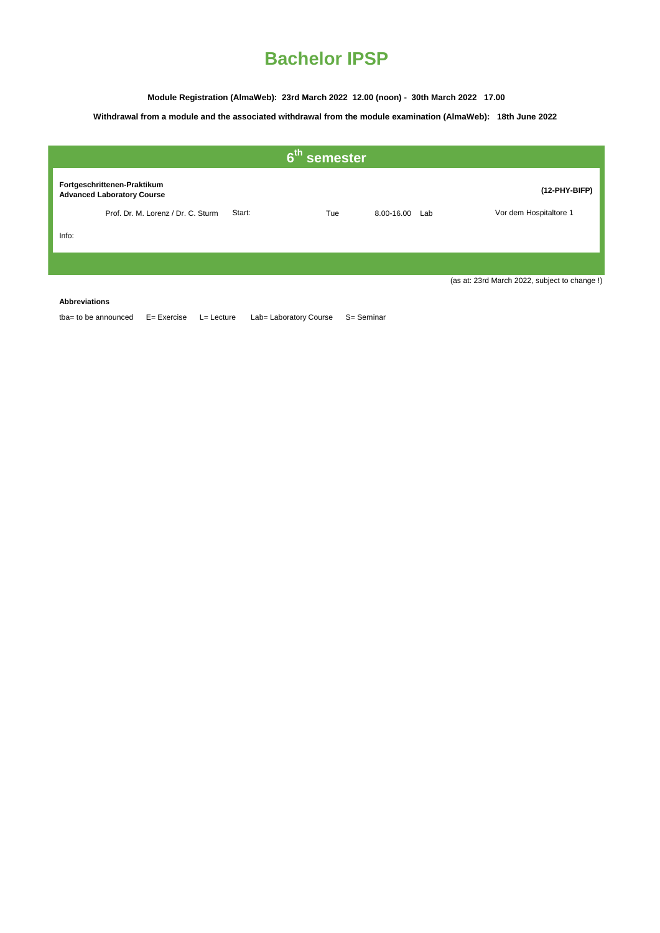**Module Registration (AlmaWeb): 23rd March 2022 12.00 (noon) - 30th March 2022 17.00**

## **Withdrawal from a module and the associated withdrawal from the module examination (AlmaWeb): 18th June 2022**

| $6th$ semester |                                                                  |        |     |                |               |                                              |  |
|----------------|------------------------------------------------------------------|--------|-----|----------------|---------------|----------------------------------------------|--|
|                | Fortgeschrittenen-Praktikum<br><b>Advanced Laboratory Course</b> |        |     |                | (12-PHY-BIFP) |                                              |  |
|                | Prof. Dr. M. Lorenz / Dr. C. Sturm                               | Start: | Tue | 8.00-16.00 Lab |               | Vor dem Hospitaltore 1                       |  |
| Info:          |                                                                  |        |     |                |               |                                              |  |
|                |                                                                  |        |     |                |               |                                              |  |
|                |                                                                  |        |     |                |               | (as at: 23rd March 2022, subject to change!) |  |

**Abbreviations**

tba= to be announced E= Exercise L= Lecture Lab= Laboratory Course S= Seminar